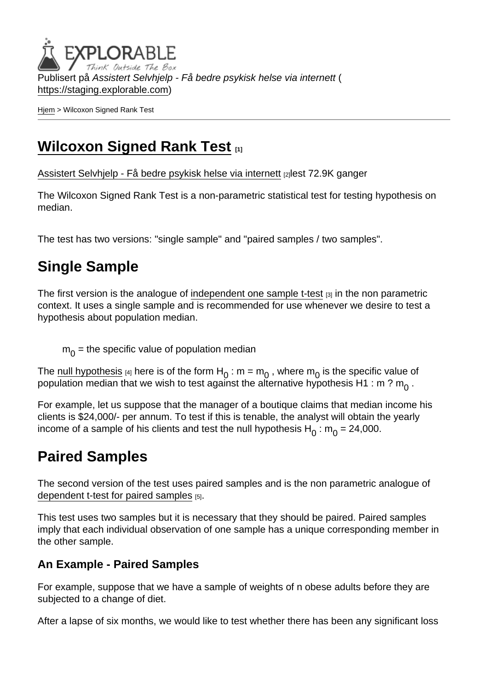Publisert på Assistert Selvhjelp - Få bedre psykisk helse via internett ( <https://staging.explorable.com>)

[Hjem](https://staging.explorable.com/) > Wilcoxon Signed Rank Test

# [Wilcoxon Signed Rank Test](https://staging.explorable.com/wilcoxon-signed-rank-test) [1]

[Assistert Selvhjelp - Få bedre psykisk helse via internett](https://staging.explorable.com/en) [2]lest 72.9K ganger

The Wilcoxon Signed Rank Test is a non-parametric statistical test for testing hypothesis on median.

The test has two versions: "single sample" and "paired samples / two samples".

# Single Sample

The first version is the analogue of [independent one sample t-test](https://staging.explorable.com/independent-one-sample-t-test)  $\alpha$  in the non parametric context. It uses a single sample and is recommended for use whenever we desire to test a hypothesis about population median.

 $\mathsf{m}_{\overline{0}}$  = the specific value of population median

The [null hypothesis](https://staging.explorable.com/null-hypothesis) [4] here is of the form H<sub>0</sub> : m = m<sub>0</sub>, where m<sub>0</sub> is the specific value of population median that we wish to test against the alternative hypothesis H1 : m ?  $\mathsf{m}_0$  .

For example, let us suppose that the manager of a boutique claims that median income his clients is \$24,000/- per annum. To test if this is tenable, the analyst will obtain the yearly income of a sample of his clients and test the null hypothesis  ${\sf H}_0$  :  ${\sf m}_0$  = 24,000.

## Paired Samples

The second version of the test uses paired samples and is the non parametric analogue of [dependent t-test for paired samples](https://staging.explorable.com/dependent-t-test-for-paired-samples) [5].

This test uses two samples but it is necessary that they should be paired. Paired samples imply that each individual observation of one sample has a unique corresponding member in the other sample.

### An Example - Paired Samples

For example, suppose that we have a sample of weights of n obese adults before they are subjected to a change of diet.

After a lapse of six months, we would like to test whether there has been any significant loss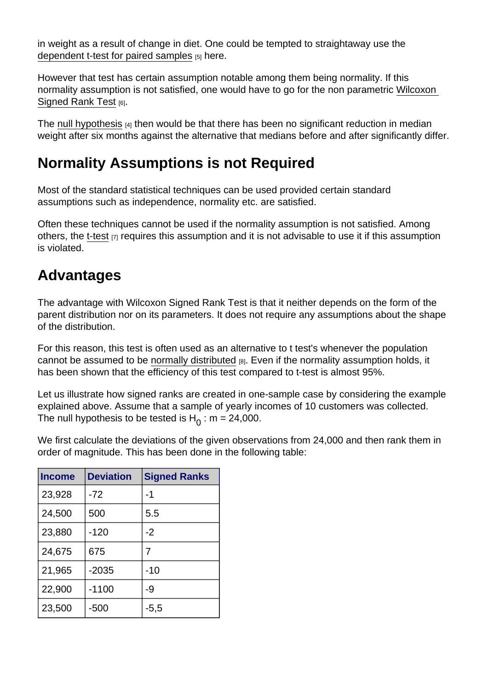in weight as a result of change in diet. One could be tempted to straightaway use the [dependent t-test for paired samples](https://staging.explorable.com/dependent-t-test-for-paired-samples)  $[5]$  here.

However that test has certain assumption notable among them being normality. If this normality assumption is not satisfied, one would have to go for the non parametric [Wilcoxon](http://en.wikipedia.org/wiki/Wilcoxon_signed-rank_test)  [Signed Rank Test](http://en.wikipedia.org/wiki/Wilcoxon_signed-rank_test) [6].

The [null hypothesis](https://staging.explorable.com/null-hypothesis) [4] then would be that there has been no significant reduction in median weight after six months against the alternative that medians before and after significantly differ.

### Normality Assumptions is not Required

Most of the standard statistical techniques can be used provided certain standard assumptions such as independence, normality etc. are satisfied.

Often these techniques cannot be used if the normality assumption is not satisfied. Among others, the [t-test](https://staging.explorable.com/students-t-test-2) [7] requires this assumption and it is not advisable to use it if this assumption is violated.

## Advantages

The advantage with Wilcoxon Signed Rank Test is that it neither depends on the form of the parent distribution nor on its parameters. It does not require any assumptions about the shape of the distribution.

For this reason, this test is often used as an alternative to t test's whenever the population cannot be assumed to be [normally distributed](https://staging.explorable.com/normal-probability-distribution)  $_{[8]}$ . Even if the normality assumption holds, it has been shown that the efficiency of this test compared to t-test is almost 95%.

Let us illustrate how signed ranks are created in one-sample case by considering the example explained above. Assume that a sample of yearly incomes of 10 customers was collected. The null hypothesis to be tested is  $H_0$  : m = 24,000.

We first calculate the deviations of the given observations from 24,000 and then rank them in order of magnitude. This has been done in the following table:

| Income | <b>Deviation</b> | <b>Signed Ranks</b> |
|--------|------------------|---------------------|
| 23,928 | $-72$            | -1                  |
| 24,500 | 500              | 5.5                 |
| 23,880 | $-120$           | $-2$                |
| 24,675 | 675              | 7                   |
| 21,965 | $-2035$          | $-10$               |
| 22,900 | $-1100$          | -9                  |
| 23,500 | $-500$           | $-5,5$              |